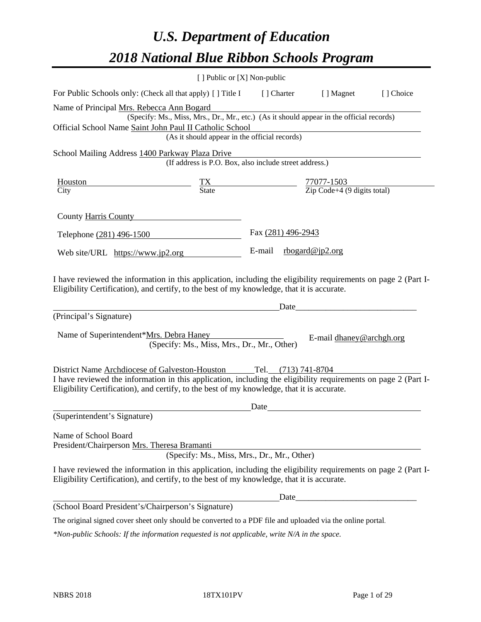# *U.S. Department of Education 2018 National Blue Ribbon Schools Program*

|                                                                                                                                                                                                                                                                                    | [ ] Public or [X] Non-public                                                                                                              |      |                                                                                                                                                                                                                               |                          |           |
|------------------------------------------------------------------------------------------------------------------------------------------------------------------------------------------------------------------------------------------------------------------------------------|-------------------------------------------------------------------------------------------------------------------------------------------|------|-------------------------------------------------------------------------------------------------------------------------------------------------------------------------------------------------------------------------------|--------------------------|-----------|
| For Public Schools only: (Check all that apply) [ ] Title I [ ] Charter [ ] Magnet                                                                                                                                                                                                 |                                                                                                                                           |      |                                                                                                                                                                                                                               |                          | [] Choice |
| Name of Principal Mrs. Rebecca Ann Bogard<br>Official School Name Saint John Paul II Catholic School                                                                                                                                                                               | (Specify: Ms., Miss, Mrs., Dr., Mr., etc.) (As it should appear in the official records)<br>(As it should appear in the official records) |      |                                                                                                                                                                                                                               |                          |           |
| School Mailing Address 1400 Parkway Plaza Drive                                                                                                                                                                                                                                    | (If address is P.O. Box, also include street address.)                                                                                    |      |                                                                                                                                                                                                                               |                          |           |
| $\frac{\text{Houston}}{\text{City}}$ $\frac{\text{TX}}{\text{State}}$ $\frac{77077-1503}{\text{Zip Code}+4 (9 \text{ digits total})}$                                                                                                                                              |                                                                                                                                           |      |                                                                                                                                                                                                                               |                          |           |
| County Harris County                                                                                                                                                                                                                                                               |                                                                                                                                           |      |                                                                                                                                                                                                                               |                          |           |
| Telephone (281) 496-1500                                                                                                                                                                                                                                                           |                                                                                                                                           |      | Fax (281) 496-2943                                                                                                                                                                                                            |                          |           |
| Web site/URL https://www.jp2.org                                                                                                                                                                                                                                                   |                                                                                                                                           |      | E-mail $\frac{\text{rbogard@ip2.org}}{}$                                                                                                                                                                                      |                          |           |
| I have reviewed the information in this application, including the eligibility requirements on page 2 (Part I-<br>Eligibility Certification), and certify, to the best of my knowledge, that it is accurate.<br>(Principal's Signature)                                            |                                                                                                                                           |      | Date                                                                                                                                                                                                                          |                          |           |
| Name of Superintendent*Mrs. Debra Haney                                                                                                                                                                                                                                            | (Specify: Ms., Miss, Mrs., Dr., Mr., Other)                                                                                               |      |                                                                                                                                                                                                                               | E-mail dhaney@archgh.org |           |
| District Name Archdiocese of Galveston-Houston Tel. (713) 741-8704<br>I have reviewed the information in this application, including the eligibility requirements on page 2 (Part I-<br>Eligibility Certification), and certify, to the best of my knowledge, that it is accurate. |                                                                                                                                           |      |                                                                                                                                                                                                                               |                          |           |
| (Superintendent's Signature)                                                                                                                                                                                                                                                       |                                                                                                                                           | Date |                                                                                                                                                                                                                               |                          |           |
| Name of School Board<br>President/Chairperson Mrs. Theresa Bramanti                                                                                                                                                                                                                | (Specify: Ms., Miss, Mrs., Dr., Mr., Other)                                                                                               |      |                                                                                                                                                                                                                               |                          |           |
| I have reviewed the information in this application, including the eligibility requirements on page 2 (Part I-<br>Eligibility Certification), and certify, to the best of my knowledge, that it is accurate.                                                                       |                                                                                                                                           |      |                                                                                                                                                                                                                               |                          |           |
|                                                                                                                                                                                                                                                                                    |                                                                                                                                           |      | Date and the same state of the state of the state of the state of the state of the state of the state of the state of the state of the state of the state of the state of the state of the state of the state of the state of |                          |           |
| (School Board President's/Chairperson's Signature)                                                                                                                                                                                                                                 |                                                                                                                                           |      |                                                                                                                                                                                                                               |                          |           |
| The original signed cover sheet only should be converted to a PDF file and uploaded via the online portal.                                                                                                                                                                         |                                                                                                                                           |      |                                                                                                                                                                                                                               |                          |           |

*\*Non-public Schools: If the information requested is not applicable, write N/A in the space.*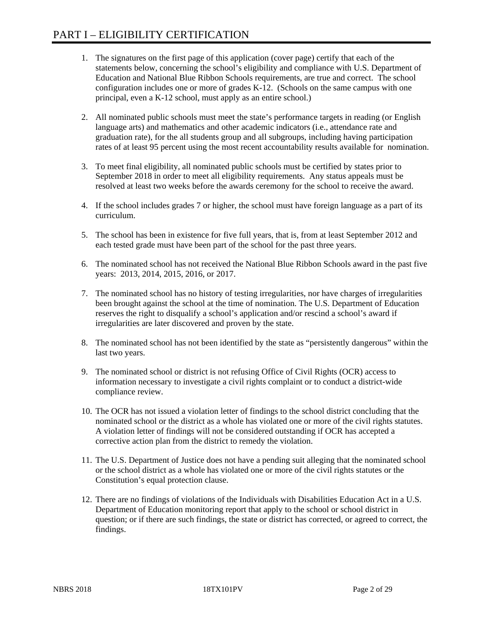- 1. The signatures on the first page of this application (cover page) certify that each of the statements below, concerning the school's eligibility and compliance with U.S. Department of Education and National Blue Ribbon Schools requirements, are true and correct. The school configuration includes one or more of grades K-12. (Schools on the same campus with one principal, even a K-12 school, must apply as an entire school.)
- 2. All nominated public schools must meet the state's performance targets in reading (or English language arts) and mathematics and other academic indicators (i.e., attendance rate and graduation rate), for the all students group and all subgroups, including having participation rates of at least 95 percent using the most recent accountability results available for nomination.
- 3. To meet final eligibility, all nominated public schools must be certified by states prior to September 2018 in order to meet all eligibility requirements. Any status appeals must be resolved at least two weeks before the awards ceremony for the school to receive the award.
- 4. If the school includes grades 7 or higher, the school must have foreign language as a part of its curriculum.
- 5. The school has been in existence for five full years, that is, from at least September 2012 and each tested grade must have been part of the school for the past three years.
- 6. The nominated school has not received the National Blue Ribbon Schools award in the past five years: 2013, 2014, 2015, 2016, or 2017.
- 7. The nominated school has no history of testing irregularities, nor have charges of irregularities been brought against the school at the time of nomination. The U.S. Department of Education reserves the right to disqualify a school's application and/or rescind a school's award if irregularities are later discovered and proven by the state.
- 8. The nominated school has not been identified by the state as "persistently dangerous" within the last two years.
- 9. The nominated school or district is not refusing Office of Civil Rights (OCR) access to information necessary to investigate a civil rights complaint or to conduct a district-wide compliance review.
- 10. The OCR has not issued a violation letter of findings to the school district concluding that the nominated school or the district as a whole has violated one or more of the civil rights statutes. A violation letter of findings will not be considered outstanding if OCR has accepted a corrective action plan from the district to remedy the violation.
- 11. The U.S. Department of Justice does not have a pending suit alleging that the nominated school or the school district as a whole has violated one or more of the civil rights statutes or the Constitution's equal protection clause.
- 12. There are no findings of violations of the Individuals with Disabilities Education Act in a U.S. Department of Education monitoring report that apply to the school or school district in question; or if there are such findings, the state or district has corrected, or agreed to correct, the findings.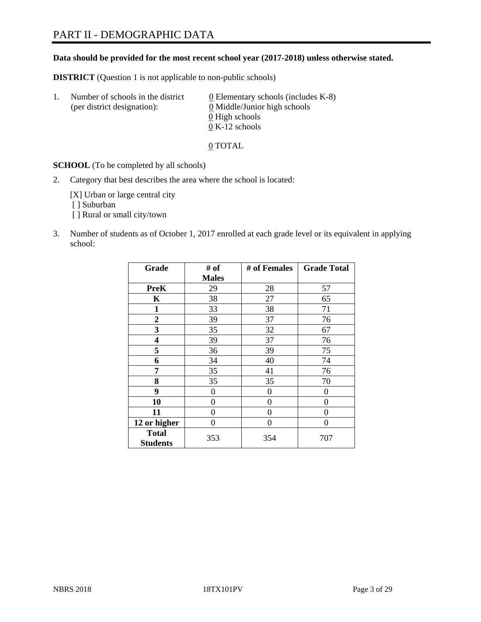# PART II - DEMOGRAPHIC DATA

### **Data should be provided for the most recent school year (2017-2018) unless otherwise stated.**

**DISTRICT** (Question 1 is not applicable to non-public schools)

| Τ. | Number of schools in the district<br>(per district designation): | 0 Elementary schools (includes K-8)<br>0 Middle/Junior high schools |
|----|------------------------------------------------------------------|---------------------------------------------------------------------|
|    |                                                                  | 0 High schools                                                      |
|    |                                                                  | $0 K-12$ schools                                                    |

0 TOTAL

**SCHOOL** (To be completed by all schools)

2. Category that best describes the area where the school is located:

[X] Urban or large central city [ ] Suburban

[ ] Rural or small city/town

3. Number of students as of October 1, 2017 enrolled at each grade level or its equivalent in applying school:

| Grade                           | # of           | # of Females | <b>Grade Total</b> |
|---------------------------------|----------------|--------------|--------------------|
|                                 | <b>Males</b>   |              |                    |
| <b>PreK</b>                     | 29             | 28           | 57                 |
| $\mathbf K$                     | 38             | 27           | 65                 |
| $\mathbf{1}$                    | 33             | 38           | 71                 |
| 2                               | 39             | 37           | 76                 |
| 3                               | 35             | 32           | 67                 |
| 4                               | 39             | 37           | 76                 |
| 5                               | 36             | 39           | 75                 |
| 6                               | 34             | 40           | 74                 |
| 7                               | 35             | 41           | 76                 |
| 8                               | 35             | 35           | 70                 |
| 9                               | $\overline{0}$ | $\theta$     | 0                  |
| 10                              | 0              | $\theta$     | 0                  |
| 11                              | 0              | $\theta$     | 0                  |
| 12 or higher                    | 0              | $\theta$     | 0                  |
| <b>Total</b><br><b>Students</b> | 353            | 354          | 707                |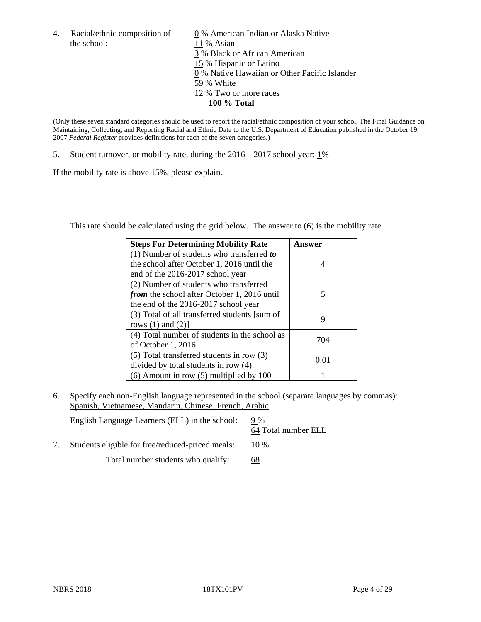the school: 11 % Asian

4. Racial/ethnic composition of  $\qquad 0\%$  American Indian or Alaska Native 3 % Black or African American 15 % Hispanic or Latino 0 % Native Hawaiian or Other Pacific Islander 59 % White 12 % Two or more races **100 % Total**

(Only these seven standard categories should be used to report the racial/ethnic composition of your school. The Final Guidance on Maintaining, Collecting, and Reporting Racial and Ethnic Data to the U.S. Department of Education published in the October 19, 2007 *Federal Register* provides definitions for each of the seven categories.)

5. Student turnover, or mobility rate, during the 2016 – 2017 school year: 1%

If the mobility rate is above 15%, please explain.

This rate should be calculated using the grid below. The answer to (6) is the mobility rate.

| <b>Steps For Determining Mobility Rate</b>         | Answer |
|----------------------------------------------------|--------|
| $(1)$ Number of students who transferred to        |        |
| the school after October 1, 2016 until the         | 4      |
| end of the 2016-2017 school year                   |        |
| (2) Number of students who transferred             |        |
| <i>from</i> the school after October 1, 2016 until | 5      |
| the end of the 2016-2017 school year               |        |
| (3) Total of all transferred students [sum of      | 9      |
| rows $(1)$ and $(2)$ ]                             |        |
| (4) Total number of students in the school as      |        |
| of October 1, 2016                                 | 704    |
| $(5)$ Total transferred students in row $(3)$      |        |
| divided by total students in row (4)               | 0.01   |
| $(6)$ Amount in row $(5)$ multiplied by 100        |        |

6. Specify each non-English language represented in the school (separate languages by commas): Spanish, Vietnamese, Mandarin, Chinese, French, Arabic

English Language Learners (ELL) in the school: 9 % 64 Total number ELL

7. Students eligible for free/reduced-priced meals: 10 %

Total number students who qualify: 68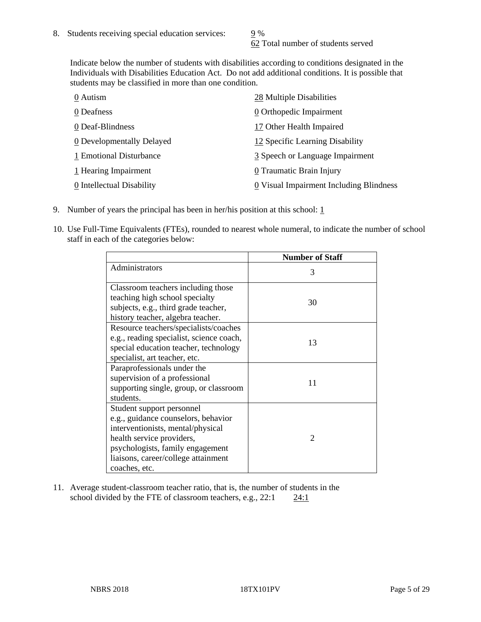62 Total number of students served

Indicate below the number of students with disabilities according to conditions designated in the Individuals with Disabilities Education Act. Do not add additional conditions. It is possible that students may be classified in more than one condition.

| 0 Autism                  | 28 Multiple Disabilities                              |
|---------------------------|-------------------------------------------------------|
| 0 Deafness                | 0 Orthopedic Impairment                               |
| 0 Deaf-Blindness          | 17 Other Health Impaired                              |
| 0 Developmentally Delayed | 12 Specific Learning Disability                       |
| 1 Emotional Disturbance   | 3 Speech or Language Impairment                       |
| 1 Hearing Impairment      | 0 Traumatic Brain Injury                              |
| 0 Intellectual Disability | $\underline{0}$ Visual Impairment Including Blindness |

- 9. Number of years the principal has been in her/his position at this school:  $1$
- 10. Use Full-Time Equivalents (FTEs), rounded to nearest whole numeral, to indicate the number of school staff in each of the categories below:

|                                                                                                                                                                                                                                | <b>Number of Staff</b> |
|--------------------------------------------------------------------------------------------------------------------------------------------------------------------------------------------------------------------------------|------------------------|
| Administrators                                                                                                                                                                                                                 | 3                      |
| Classroom teachers including those<br>teaching high school specialty<br>subjects, e.g., third grade teacher,                                                                                                                   | 30                     |
| history teacher, algebra teacher.                                                                                                                                                                                              |                        |
| Resource teachers/specialists/coaches<br>e.g., reading specialist, science coach,<br>special education teacher, technology<br>specialist, art teacher, etc.                                                                    | 13                     |
| Paraprofessionals under the<br>supervision of a professional<br>supporting single, group, or classroom<br>students.                                                                                                            | 11                     |
| Student support personnel<br>e.g., guidance counselors, behavior<br>interventionists, mental/physical<br>health service providers,<br>psychologists, family engagement<br>liaisons, career/college attainment<br>coaches, etc. | $\mathcal{D}$          |

11. Average student-classroom teacher ratio, that is, the number of students in the school divided by the FTE of classroom teachers, e.g.,  $22:1$  24:1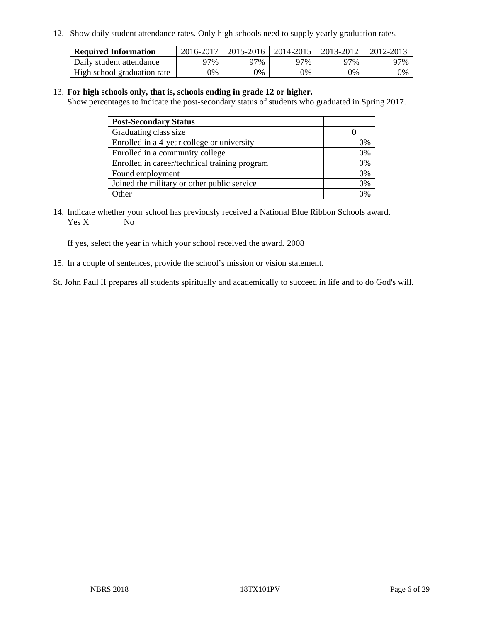12. Show daily student attendance rates. Only high schools need to supply yearly graduation rates.

| <b>Required Information</b> | 2016-2017 | $2015 - 2016$ | 2014-2015 | 2013-2012 | 2012-2013 |
|-----------------------------|-----------|---------------|-----------|-----------|-----------|
| Daily student attendance    | 97%       | 97%           | 97%       | ว7%       | 97%       |
| High school graduation rate | 0%        | 0%            | 0%        | 0%        | 0%        |

#### 13. **For high schools only, that is, schools ending in grade 12 or higher.**

Show percentages to indicate the post-secondary status of students who graduated in Spring 2017.

| <b>Post-Secondary Status</b>                  |    |
|-----------------------------------------------|----|
| Graduating class size                         |    |
| Enrolled in a 4-year college or university    | 7% |
| Enrolled in a community college               | 0% |
| Enrolled in career/technical training program | 0% |
| Found employment                              | 0% |
| Joined the military or other public service   | 0% |
| Other                                         |    |

14. Indicate whether your school has previously received a National Blue Ribbon Schools award. Yes X No

If yes, select the year in which your school received the award. 2008

15. In a couple of sentences, provide the school's mission or vision statement.

St. John Paul II prepares all students spiritually and academically to succeed in life and to do God's will.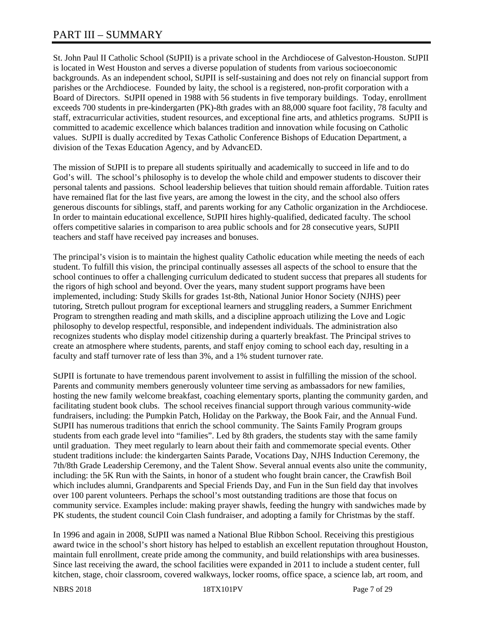# PART III – SUMMARY

St. John Paul II Catholic School (StJPII) is a private school in the Archdiocese of Galveston-Houston. StJPII is located in West Houston and serves a diverse population of students from various socioeconomic backgrounds. As an independent school, StJPII is self-sustaining and does not rely on financial support from parishes or the Archdiocese. Founded by laity, the school is a registered, non-profit corporation with a Board of Directors. StJPII opened in 1988 with 56 students in five temporary buildings. Today, enrollment exceeds 700 students in pre-kindergarten (PK)-8th grades with an 88,000 square foot facility, 78 faculty and staff, extracurricular activities, student resources, and exceptional fine arts, and athletics programs. StJPII is committed to academic excellence which balances tradition and innovation while focusing on Catholic values. StJPII is dually accredited by Texas Catholic Conference Bishops of Education Department, a division of the Texas Education Agency, and by AdvancED.

The mission of StJPII is to prepare all students spiritually and academically to succeed in life and to do God's will. The school's philosophy is to develop the whole child and empower students to discover their personal talents and passions. School leadership believes that tuition should remain affordable. Tuition rates have remained flat for the last five years, are among the lowest in the city, and the school also offers generous discounts for siblings, staff, and parents working for any Catholic organization in the Archdiocese. In order to maintain educational excellence, StJPII hires highly-qualified, dedicated faculty. The school offers competitive salaries in comparison to area public schools and for 28 consecutive years, StJPII teachers and staff have received pay increases and bonuses.

The principal's vision is to maintain the highest quality Catholic education while meeting the needs of each student. To fulfill this vision, the principal continually assesses all aspects of the school to ensure that the school continues to offer a challenging curriculum dedicated to student success that prepares all students for the rigors of high school and beyond. Over the years, many student support programs have been implemented, including: Study Skills for grades 1st-8th, National Junior Honor Society (NJHS) peer tutoring, Stretch pullout program for exceptional learners and struggling readers, a Summer Enrichment Program to strengthen reading and math skills, and a discipline approach utilizing the Love and Logic philosophy to develop respectful, responsible, and independent individuals. The administration also recognizes students who display model citizenship during a quarterly breakfast. The Principal strives to create an atmosphere where students, parents, and staff enjoy coming to school each day, resulting in a faculty and staff turnover rate of less than 3%, and a 1% student turnover rate.

StJPII is fortunate to have tremendous parent involvement to assist in fulfilling the mission of the school. Parents and community members generously volunteer time serving as ambassadors for new families, hosting the new family welcome breakfast, coaching elementary sports, planting the community garden, and facilitating student book clubs. The school receives financial support through various community-wide fundraisers, including: the Pumpkin Patch, Holiday on the Parkway, the Book Fair, and the Annual Fund. StJPII has numerous traditions that enrich the school community. The Saints Family Program groups students from each grade level into "families". Led by 8th graders, the students stay with the same family until graduation. They meet regularly to learn about their faith and commemorate special events. Other student traditions include: the kindergarten Saints Parade, Vocations Day, NJHS Induction Ceremony, the 7th/8th Grade Leadership Ceremony, and the Talent Show. Several annual events also unite the community, including: the 5K Run with the Saints, in honor of a student who fought brain cancer, the Crawfish Boil which includes alumni, Grandparents and Special Friends Day, and Fun in the Sun field day that involves over 100 parent volunteers. Perhaps the school's most outstanding traditions are those that focus on community service. Examples include: making prayer shawls, feeding the hungry with sandwiches made by PK students, the student council Coin Clash fundraiser, and adopting a family for Christmas by the staff.

In 1996 and again in 2008, StJPII was named a National Blue Ribbon School. Receiving this prestigious award twice in the school's short history has helped to establish an excellent reputation throughout Houston, maintain full enrollment, create pride among the community, and build relationships with area businesses. Since last receiving the award, the school facilities were expanded in 2011 to include a student center, full kitchen, stage, choir classroom, covered walkways, locker rooms, office space, a science lab, art room, and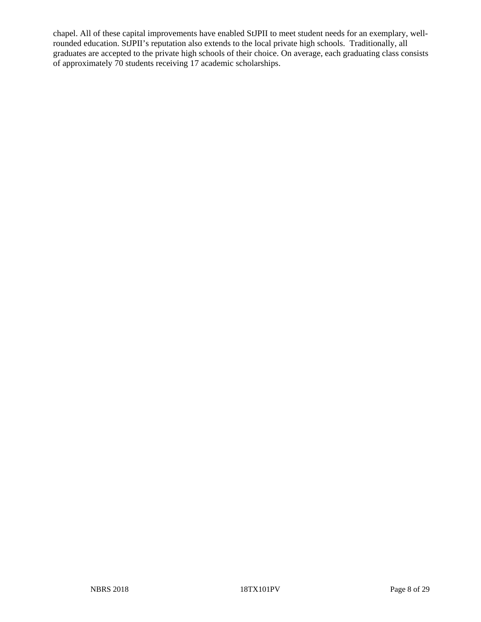chapel. All of these capital improvements have enabled StJPII to meet student needs for an exemplary, wellrounded education. StJPII's reputation also extends to the local private high schools. Traditionally, all graduates are accepted to the private high schools of their choice. On average, each graduating class consists of approximately 70 students receiving 17 academic scholarships.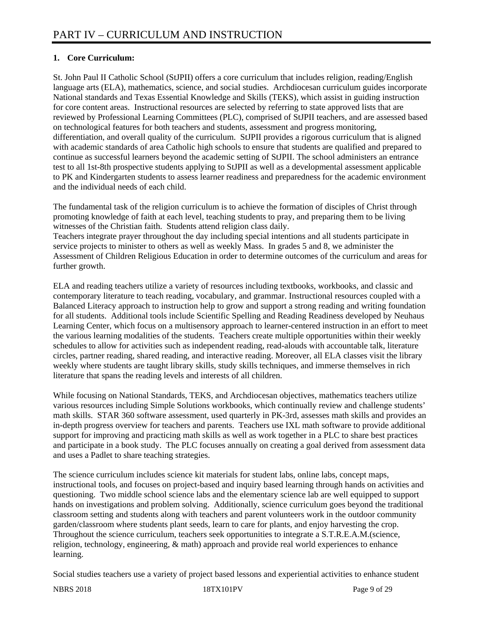# **1. Core Curriculum:**

St. John Paul II Catholic School (StJPII) offers a core curriculum that includes religion, reading/English language arts (ELA), mathematics, science, and social studies. Archdiocesan curriculum guides incorporate National standards and Texas Essential Knowledge and Skills (TEKS), which assist in guiding instruction for core content areas. Instructional resources are selected by referring to state approved lists that are reviewed by Professional Learning Committees (PLC), comprised of StJPII teachers, and are assessed based on technological features for both teachers and students, assessment and progress monitoring, differentiation, and overall quality of the curriculum. StJPII provides a rigorous curriculum that is aligned with academic standards of area Catholic high schools to ensure that students are qualified and prepared to continue as successful learners beyond the academic setting of StJPII. The school administers an entrance test to all 1st-8th prospective students applying to StJPII as well as a developmental assessment applicable to PK and Kindergarten students to assess learner readiness and preparedness for the academic environment and the individual needs of each child.

The fundamental task of the religion curriculum is to achieve the formation of disciples of Christ through promoting knowledge of faith at each level, teaching students to pray, and preparing them to be living witnesses of the Christian faith. Students attend religion class daily.

Teachers integrate prayer throughout the day including special intentions and all students participate in service projects to minister to others as well as weekly Mass. In grades 5 and 8, we administer the Assessment of Children Religious Education in order to determine outcomes of the curriculum and areas for further growth.

ELA and reading teachers utilize a variety of resources including textbooks, workbooks, and classic and contemporary literature to teach reading, vocabulary, and grammar. Instructional resources coupled with a Balanced Literacy approach to instruction help to grow and support a strong reading and writing foundation for all students. Additional tools include Scientific Spelling and Reading Readiness developed by Neuhaus Learning Center, which focus on a multisensory approach to learner-centered instruction in an effort to meet the various learning modalities of the students. Teachers create multiple opportunities within their weekly schedules to allow for activities such as independent reading, read-alouds with accountable talk, literature circles, partner reading, shared reading, and interactive reading. Moreover, all ELA classes visit the library weekly where students are taught library skills, study skills techniques, and immerse themselves in rich literature that spans the reading levels and interests of all children.

While focusing on National Standards, TEKS, and Archdiocesan objectives, mathematics teachers utilize various resources including Simple Solutions workbooks, which continually review and challenge students' math skills. STAR 360 software assessment, used quarterly in PK-3rd, assesses math skills and provides an in-depth progress overview for teachers and parents. Teachers use IXL math software to provide additional support for improving and practicing math skills as well as work together in a PLC to share best practices and participate in a book study. The PLC focuses annually on creating a goal derived from assessment data and uses a Padlet to share teaching strategies.

The science curriculum includes science kit materials for student labs, online labs, concept maps, instructional tools, and focuses on project-based and inquiry based learning through hands on activities and questioning. Two middle school science labs and the elementary science lab are well equipped to support hands on investigations and problem solving. Additionally, science curriculum goes beyond the traditional classroom setting and students along with teachers and parent volunteers work in the outdoor community garden/classroom where students plant seeds, learn to care for plants, and enjoy harvesting the crop. Throughout the science curriculum, teachers seek opportunities to integrate a S.T.R.E.A.M.(science, religion, technology, engineering, & math) approach and provide real world experiences to enhance learning.

Social studies teachers use a variety of project based lessons and experiential activities to enhance student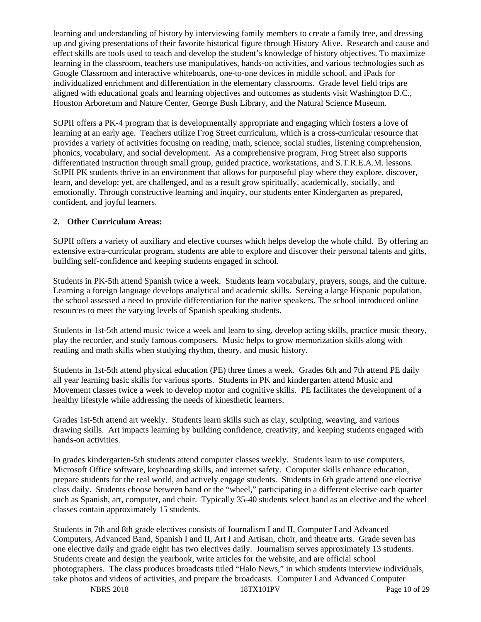learning and understanding of history by interviewing family members to create a family tree, and dressing up and giving presentations of their favorite historical figure through History Alive. Research and cause and effect skills are tools used to teach and develop the student's knowledge of history objectives. To maximize learning in the classroom, teachers use manipulatives, hands-on activities, and various technologies such as Google Classroom and interactive whiteboards, one-to-one devices in middle school, and iPads for individualized enrichment and differentiation in the elementary classrooms. Grade level field trips are aligned with educational goals and learning objectives and outcomes as students visit Washington D.C., Houston Arboretum and Nature Center, George Bush Library, and the Natural Science Museum.

StJPII offers a PK-4 program that is developmentally appropriate and engaging which fosters a love of learning at an early age. Teachers utilize Frog Street curriculum, which is a cross-curricular resource that provides a variety of activities focusing on reading, math, science, social studies, listening comprehension, phonics, vocabulary, and social development. As a comprehensive program, Frog Street also supports differentiated instruction through small group, guided practice, workstations, and S.T.R.E.A.M. lessons. StJPII PK students thrive in an environment that allows for purposeful play where they explore, discover, learn, and develop; yet, are challenged, and as a result grow spiritually, academically, socially, and emotionally. Through constructive learning and inquiry, our students enter Kindergarten as prepared, confident, and joyful learners.

### **2. Other Curriculum Areas:**

StJPII offers a variety of auxiliary and elective courses which helps develop the whole child. By offering an extensive extra-curricular program, students are able to explore and discover their personal talents and gifts, building self-confidence and keeping students engaged in school.

Students in PK-5th attend Spanish twice a week. Students learn vocabulary, prayers, songs, and the culture. Learning a foreign language develops analytical and academic skills. Serving a large Hispanic population, the school assessed a need to provide differentiation for the native speakers. The school introduced online resources to meet the varying levels of Spanish speaking students.

Students in 1st-5th attend music twice a week and learn to sing, develop acting skills, practice music theory, play the recorder, and study famous composers. Music helps to grow memorization skills along with reading and math skills when studying rhythm, theory, and music history.

Students in 1st-5th attend physical education (PE) three times a week. Grades 6th and 7th attend PE daily all year learning basic skills for various sports. Students in PK and kindergarten attend Music and Movement classes twice a week to develop motor and cognitive skills. PE facilitates the development of a healthy lifestyle while addressing the needs of kinesthetic learners.

Grades 1st-5th attend art weekly. Students learn skills such as clay, sculpting, weaving, and various drawing skills. Art impacts learning by building confidence, creativity, and keeping students engaged with hands-on activities.

In grades kindergarten-5th students attend computer classes weekly. Students learn to use computers, Microsoft Office software, keyboarding skills, and internet safety. Computer skills enhance education, prepare students for the real world, and actively engage students. Students in 6th grade attend one elective class daily. Students choose between band or the "wheel," participating in a different elective each quarter such as Spanish, art, computer, and choir. Typically 35-40 students select band as an elective and the wheel classes contain approximately 15 students.

NBRS 2018 18TX101PV Page 10 of 29 Students in 7th and 8th grade electives consists of Journalism I and II, Computer I and Advanced Computers, Advanced Band, Spanish I and II, Art I and Artisan, choir, and theatre arts. Grade seven has one elective daily and grade eight has two electives daily. Journalism serves approximately 13 students. Students create and design the yearbook, write articles for the website, and are official school photographers. The class produces broadcasts titled "Halo News," in which students interview individuals, take photos and videos of activities, and prepare the broadcasts. Computer I and Advanced Computer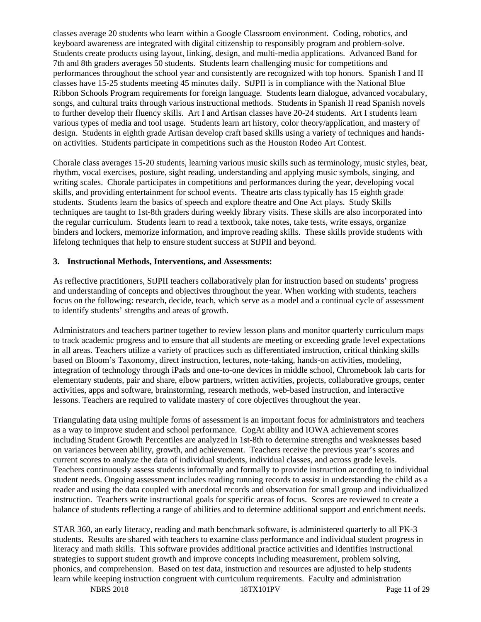classes average 20 students who learn within a Google Classroom environment. Coding, robotics, and keyboard awareness are integrated with digital citizenship to responsibly program and problem-solve. Students create products using layout, linking, design, and multi-media applications. Advanced Band for 7th and 8th graders averages 50 students. Students learn challenging music for competitions and performances throughout the school year and consistently are recognized with top honors. Spanish I and II classes have 15-25 students meeting 45 minutes daily. StJPII is in compliance with the National Blue Ribbon Schools Program requirements for foreign language. Students learn dialogue, advanced vocabulary, songs, and cultural traits through various instructional methods. Students in Spanish II read Spanish novels to further develop their fluency skills. Art I and Artisan classes have 20-24 students. Art I students learn various types of media and tool usage. Students learn art history, color theory/application, and mastery of design. Students in eighth grade Artisan develop craft based skills using a variety of techniques and handson activities. Students participate in competitions such as the Houston Rodeo Art Contest.

Chorale class averages 15-20 students, learning various music skills such as terminology, music styles, beat, rhythm, vocal exercises, posture, sight reading, understanding and applying music symbols, singing, and writing scales. Chorale participates in competitions and performances during the year, developing vocal skills, and providing entertainment for school events. Theatre arts class typically has 15 eighth grade students. Students learn the basics of speech and explore theatre and One Act plays. Study Skills techniques are taught to 1st-8th graders during weekly library visits. These skills are also incorporated into the regular curriculum. Students learn to read a textbook, take notes, take tests, write essays, organize binders and lockers, memorize information, and improve reading skills. These skills provide students with lifelong techniques that help to ensure student success at StJPII and beyond.

### **3. Instructional Methods, Interventions, and Assessments:**

As reflective practitioners, StJPII teachers collaboratively plan for instruction based on students' progress and understanding of concepts and objectives throughout the year. When working with students, teachers focus on the following: research, decide, teach, which serve as a model and a continual cycle of assessment to identify students' strengths and areas of growth.

Administrators and teachers partner together to review lesson plans and monitor quarterly curriculum maps to track academic progress and to ensure that all students are meeting or exceeding grade level expectations in all areas. Teachers utilize a variety of practices such as differentiated instruction, critical thinking skills based on Bloom's Taxonomy, direct instruction, lectures, note-taking, hands-on activities, modeling, integration of technology through iPads and one-to-one devices in middle school, Chromebook lab carts for elementary students, pair and share, elbow partners, written activities, projects, collaborative groups, center activities, apps and software, brainstorming, research methods, web-based instruction, and interactive lessons. Teachers are required to validate mastery of core objectives throughout the year.

Triangulating data using multiple forms of assessment is an important focus for administrators and teachers as a way to improve student and school performance. CogAt ability and IOWA achievement scores including Student Growth Percentiles are analyzed in 1st-8th to determine strengths and weaknesses based on variances between ability, growth, and achievement. Teachers receive the previous year's scores and current scores to analyze the data of individual students, individual classes, and across grade levels. Teachers continuously assess students informally and formally to provide instruction according to individual student needs. Ongoing assessment includes reading running records to assist in understanding the child as a reader and using the data coupled with anecdotal records and observation for small group and individualized instruction. Teachers write instructional goals for specific areas of focus. Scores are reviewed to create a balance of students reflecting a range of abilities and to determine additional support and enrichment needs.

STAR 360, an early literacy, reading and math benchmark software, is administered quarterly to all PK-3 students. Results are shared with teachers to examine class performance and individual student progress in literacy and math skills. This software provides additional practice activities and identifies instructional strategies to support student growth and improve concepts including measurement, problem solving, phonics, and comprehension. Based on test data, instruction and resources are adjusted to help students learn while keeping instruction congruent with curriculum requirements. Faculty and administration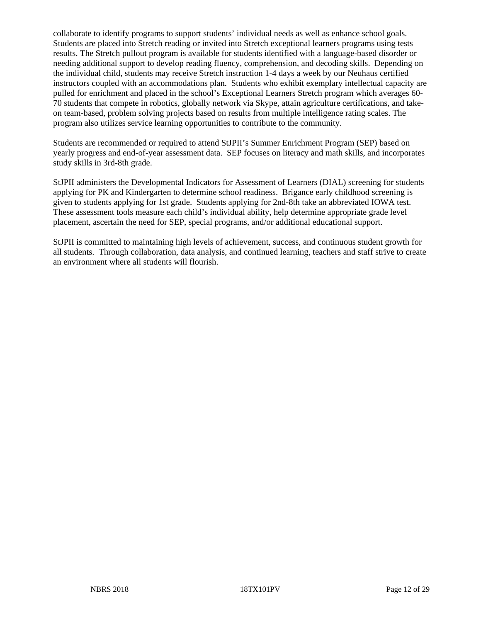collaborate to identify programs to support students' individual needs as well as enhance school goals. Students are placed into Stretch reading or invited into Stretch exceptional learners programs using tests results. The Stretch pullout program is available for students identified with a language-based disorder or needing additional support to develop reading fluency, comprehension, and decoding skills. Depending on the individual child, students may receive Stretch instruction 1-4 days a week by our Neuhaus certified instructors coupled with an accommodations plan. Students who exhibit exemplary intellectual capacity are pulled for enrichment and placed in the school's Exceptional Learners Stretch program which averages 60- 70 students that compete in robotics, globally network via Skype, attain agriculture certifications, and takeon team-based, problem solving projects based on results from multiple intelligence rating scales. The program also utilizes service learning opportunities to contribute to the community.

Students are recommended or required to attend StJPII's Summer Enrichment Program (SEP) based on yearly progress and end-of-year assessment data. SEP focuses on literacy and math skills, and incorporates study skills in 3rd-8th grade.

StJPII administers the Developmental Indicators for Assessment of Learners (DIAL) screening for students applying for PK and Kindergarten to determine school readiness. Brigance early childhood screening is given to students applying for 1st grade. Students applying for 2nd-8th take an abbreviated IOWA test. These assessment tools measure each child's individual ability, help determine appropriate grade level placement, ascertain the need for SEP, special programs, and/or additional educational support.

StJPII is committed to maintaining high levels of achievement, success, and continuous student growth for all students. Through collaboration, data analysis, and continued learning, teachers and staff strive to create an environment where all students will flourish.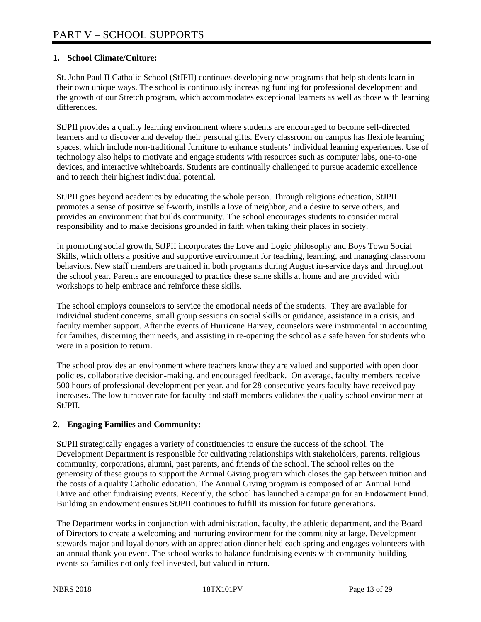### **1. School Climate/Culture:**

St. John Paul II Catholic School (StJPII) continues developing new programs that help students learn in their own unique ways. The school is continuously increasing funding for professional development and the growth of our Stretch program, which accommodates exceptional learners as well as those with learning differences.

StJPII provides a quality learning environment where students are encouraged to become self-directed learners and to discover and develop their personal gifts. Every classroom on campus has flexible learning spaces, which include non-traditional furniture to enhance students' individual learning experiences. Use of technology also helps to motivate and engage students with resources such as computer labs, one-to-one devices, and interactive whiteboards. Students are continually challenged to pursue academic excellence and to reach their highest individual potential.

StJPII goes beyond academics by educating the whole person. Through religious education, StJPII promotes a sense of positive self-worth, instills a love of neighbor, and a desire to serve others, and provides an environment that builds community. The school encourages students to consider moral responsibility and to make decisions grounded in faith when taking their places in society.

In promoting social growth, StJPII incorporates the Love and Logic philosophy and Boys Town Social Skills, which offers a positive and supportive environment for teaching, learning, and managing classroom behaviors. New staff members are trained in both programs during August in-service days and throughout the school year. Parents are encouraged to practice these same skills at home and are provided with workshops to help embrace and reinforce these skills.

The school employs counselors to service the emotional needs of the students. They are available for individual student concerns, small group sessions on social skills or guidance, assistance in a crisis, and faculty member support. After the events of Hurricane Harvey, counselors were instrumental in accounting for families, discerning their needs, and assisting in re-opening the school as a safe haven for students who were in a position to return.

The school provides an environment where teachers know they are valued and supported with open door policies, collaborative decision-making, and encouraged feedback. On average, faculty members receive 500 hours of professional development per year, and for 28 consecutive years faculty have received pay increases. The low turnover rate for faculty and staff members validates the quality school environment at StJPII.

### **2. Engaging Families and Community:**

StJPII strategically engages a variety of constituencies to ensure the success of the school. The Development Department is responsible for cultivating relationships with stakeholders, parents, religious community, corporations, alumni, past parents, and friends of the school. The school relies on the generosity of these groups to support the Annual Giving program which closes the gap between tuition and the costs of a quality Catholic education. The Annual Giving program is composed of an Annual Fund Drive and other fundraising events. Recently, the school has launched a campaign for an Endowment Fund. Building an endowment ensures StJPII continues to fulfill its mission for future generations.

The Department works in conjunction with administration, faculty, the athletic department, and the Board of Directors to create a welcoming and nurturing environment for the community at large. Development stewards major and loyal donors with an appreciation dinner held each spring and engages volunteers with an annual thank you event. The school works to balance fundraising events with community-building events so families not only feel invested, but valued in return.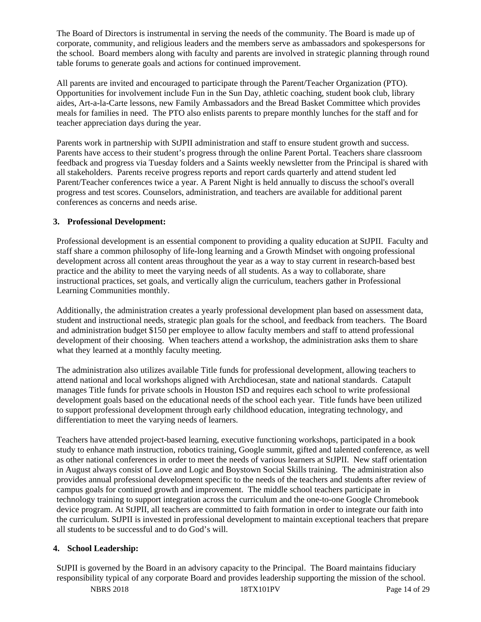The Board of Directors is instrumental in serving the needs of the community. The Board is made up of corporate, community, and religious leaders and the members serve as ambassadors and spokespersons for the school. Board members along with faculty and parents are involved in strategic planning through round table forums to generate goals and actions for continued improvement.

All parents are invited and encouraged to participate through the Parent/Teacher Organization (PTO). Opportunities for involvement include Fun in the Sun Day, athletic coaching, student book club, library aides, Art-a-la-Carte lessons, new Family Ambassadors and the Bread Basket Committee which provides meals for families in need. The PTO also enlists parents to prepare monthly lunches for the staff and for teacher appreciation days during the year.

Parents work in partnership with StJPII administration and staff to ensure student growth and success. Parents have access to their student's progress through the online Parent Portal. Teachers share classroom feedback and progress via Tuesday folders and a Saints weekly newsletter from the Principal is shared with all stakeholders. Parents receive progress reports and report cards quarterly and attend student led Parent/Teacher conferences twice a year. A Parent Night is held annually to discuss the school's overall progress and test scores. Counselors, administration, and teachers are available for additional parent conferences as concerns and needs arise.

### **3. Professional Development:**

Professional development is an essential component to providing a quality education at StJPII. Faculty and staff share a common philosophy of life-long learning and a Growth Mindset with ongoing professional development across all content areas throughout the year as a way to stay current in research-based best practice and the ability to meet the varying needs of all students. As a way to collaborate, share instructional practices, set goals, and vertically align the curriculum, teachers gather in Professional Learning Communities monthly.

Additionally, the administration creates a yearly professional development plan based on assessment data, student and instructional needs, strategic plan goals for the school, and feedback from teachers. The Board and administration budget \$150 per employee to allow faculty members and staff to attend professional development of their choosing. When teachers attend a workshop, the administration asks them to share what they learned at a monthly faculty meeting.

The administration also utilizes available Title funds for professional development, allowing teachers to attend national and local workshops aligned with Archdiocesan, state and national standards. Catapult manages Title funds for private schools in Houston ISD and requires each school to write professional development goals based on the educational needs of the school each year. Title funds have been utilized to support professional development through early childhood education, integrating technology, and differentiation to meet the varying needs of learners.

Teachers have attended project-based learning, executive functioning workshops, participated in a book study to enhance math instruction, robotics training, Google summit, gifted and talented conference, as well as other national conferences in order to meet the needs of various learners at StJPII. New staff orientation in August always consist of Love and Logic and Boystown Social Skills training. The administration also provides annual professional development specific to the needs of the teachers and students after review of campus goals for continued growth and improvement. The middle school teachers participate in technology training to support integration across the curriculum and the one-to-one Google Chromebook device program. At StJPII, all teachers are committed to faith formation in order to integrate our faith into the curriculum. StJPII is invested in professional development to maintain exceptional teachers that prepare all students to be successful and to do God's will.

### **4. School Leadership:**

StJPII is governed by the Board in an advisory capacity to the Principal. The Board maintains fiduciary responsibility typical of any corporate Board and provides leadership supporting the mission of the school.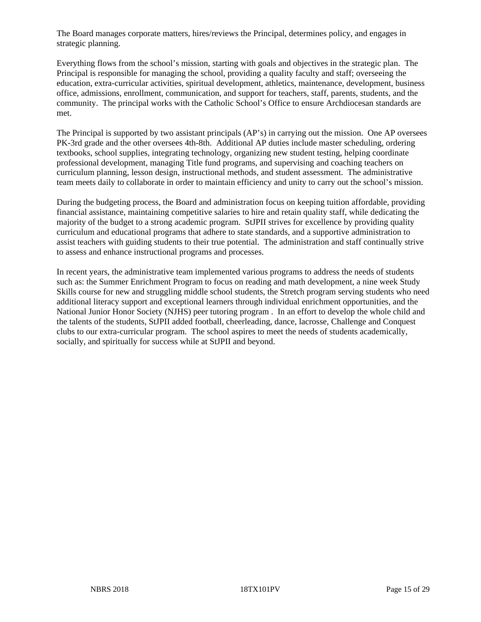The Board manages corporate matters, hires/reviews the Principal, determines policy, and engages in strategic planning.

Everything flows from the school's mission, starting with goals and objectives in the strategic plan. The Principal is responsible for managing the school, providing a quality faculty and staff; overseeing the education, extra-curricular activities, spiritual development, athletics, maintenance, development, business office, admissions, enrollment, communication, and support for teachers, staff, parents, students, and the community. The principal works with the Catholic School's Office to ensure Archdiocesan standards are met.

The Principal is supported by two assistant principals (AP's) in carrying out the mission. One AP oversees PK-3rd grade and the other oversees 4th-8th. Additional AP duties include master scheduling, ordering textbooks, school supplies, integrating technology, organizing new student testing, helping coordinate professional development, managing Title fund programs, and supervising and coaching teachers on curriculum planning, lesson design, instructional methods, and student assessment. The administrative team meets daily to collaborate in order to maintain efficiency and unity to carry out the school's mission.

During the budgeting process, the Board and administration focus on keeping tuition affordable, providing financial assistance, maintaining competitive salaries to hire and retain quality staff, while dedicating the majority of the budget to a strong academic program. StJPII strives for excellence by providing quality curriculum and educational programs that adhere to state standards, and a supportive administration to assist teachers with guiding students to their true potential. The administration and staff continually strive to assess and enhance instructional programs and processes.

In recent years, the administrative team implemented various programs to address the needs of students such as: the Summer Enrichment Program to focus on reading and math development, a nine week Study Skills course for new and struggling middle school students, the Stretch program serving students who need additional literacy support and exceptional learners through individual enrichment opportunities, and the National Junior Honor Society (NJHS) peer tutoring program . In an effort to develop the whole child and the talents of the students, StJPII added football, cheerleading, dance, lacrosse, Challenge and Conquest clubs to our extra-curricular program. The school aspires to meet the needs of students academically, socially, and spiritually for success while at StJPII and beyond.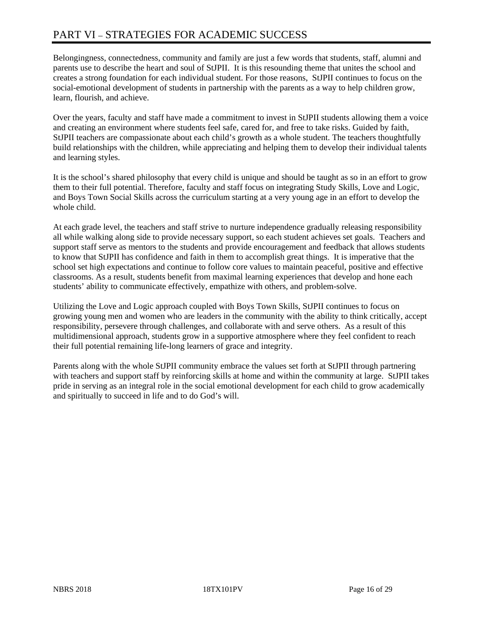# PART VI – STRATEGIES FOR ACADEMIC SUCCESS

Belongingness, connectedness, community and family are just a few words that students, staff, alumni and parents use to describe the heart and soul of StJPII. It is this resounding theme that unites the school and creates a strong foundation for each individual student. For those reasons, StJPII continues to focus on the social-emotional development of students in partnership with the parents as a way to help children grow, learn, flourish, and achieve.

Over the years, faculty and staff have made a commitment to invest in StJPII students allowing them a voice and creating an environment where students feel safe, cared for, and free to take risks. Guided by faith, StJPII teachers are compassionate about each child's growth as a whole student. The teachers thoughtfully build relationships with the children, while appreciating and helping them to develop their individual talents and learning styles.

It is the school's shared philosophy that every child is unique and should be taught as so in an effort to grow them to their full potential. Therefore, faculty and staff focus on integrating Study Skills, Love and Logic, and Boys Town Social Skills across the curriculum starting at a very young age in an effort to develop the whole child.

At each grade level, the teachers and staff strive to nurture independence gradually releasing responsibility all while walking along side to provide necessary support, so each student achieves set goals. Teachers and support staff serve as mentors to the students and provide encouragement and feedback that allows students to know that StJPII has confidence and faith in them to accomplish great things. It is imperative that the school set high expectations and continue to follow core values to maintain peaceful, positive and effective classrooms. As a result, students benefit from maximal learning experiences that develop and hone each students' ability to communicate effectively, empathize with others, and problem-solve.

Utilizing the Love and Logic approach coupled with Boys Town Skills, StJPII continues to focus on growing young men and women who are leaders in the community with the ability to think critically, accept responsibility, persevere through challenges, and collaborate with and serve others. As a result of this multidimensional approach, students grow in a supportive atmosphere where they feel confident to reach their full potential remaining life-long learners of grace and integrity.

Parents along with the whole StJPII community embrace the values set forth at StJPII through partnering with teachers and support staff by reinforcing skills at home and within the community at large. StJPII takes pride in serving as an integral role in the social emotional development for each child to grow academically and spiritually to succeed in life and to do God's will.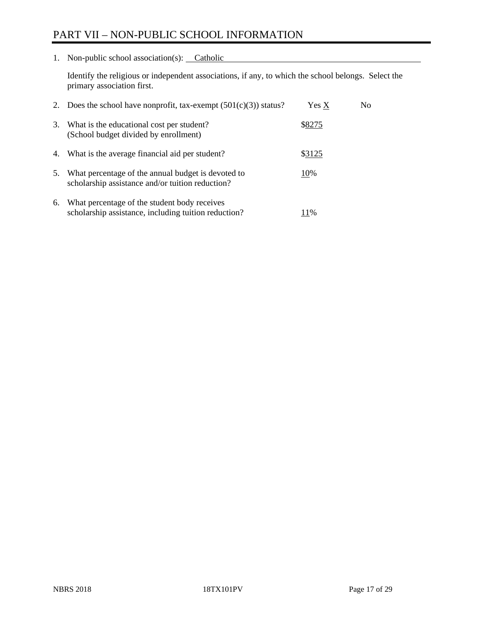# PART VII – NON-PUBLIC SCHOOL INFORMATION

1. Non-public school association(s): Catholic

Identify the religious or independent associations, if any, to which the school belongs. Select the primary association first.

| 2. | Does the school have nonprofit, tax-exempt $(501(c)(3))$ status?                                       | Yes X  | No. |
|----|--------------------------------------------------------------------------------------------------------|--------|-----|
| 3. | What is the educational cost per student?<br>(School budget divided by enrollment)                     | \$8275 |     |
| 4. | What is the average financial aid per student?                                                         | \$3125 |     |
| 5. | What percentage of the annual budget is devoted to<br>scholarship assistance and/or tuition reduction? | 10%    |     |
| 6. | What percentage of the student body receives<br>scholarship assistance, including tuition reduction?   | 11%    |     |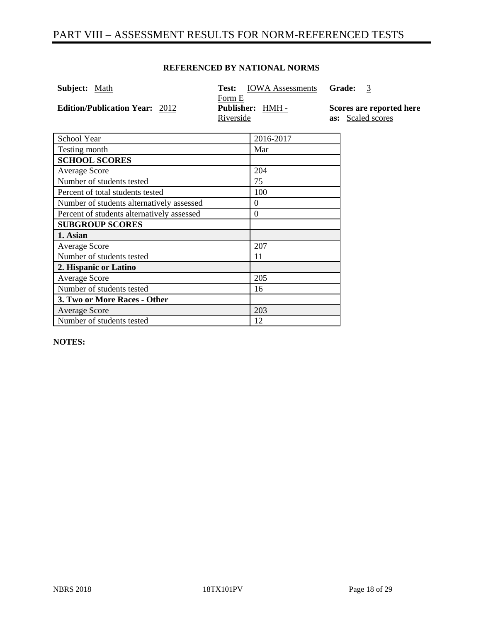# PART VIII – ASSESSMENT RESULTS FOR NORM-REFERENCED TESTS

### **REFERENCED BY NATIONAL NORMS**

| <b>Subject:</b> Math                  | <b>Test:</b> IOWA Assessments           | Grade:                                        |
|---------------------------------------|-----------------------------------------|-----------------------------------------------|
| <b>Edition/Publication Year: 2012</b> | Form E<br>Publisher: HMH -<br>Riverside | Scores are reported here<br>as: Scaled scores |
| School Year                           | 2016-2017                               |                                               |

| School Year                                | 2016-2017        |
|--------------------------------------------|------------------|
| Testing month                              | Mar              |
| <b>SCHOOL SCORES</b>                       |                  |
| <b>Average Score</b>                       | 204              |
| Number of students tested                  | 75               |
| Percent of total students tested           | 100              |
| Number of students alternatively assessed  | $\theta$         |
| Percent of students alternatively assessed | $\boldsymbol{0}$ |
| <b>SUBGROUP SCORES</b>                     |                  |
| 1. Asian                                   |                  |
| <b>Average Score</b>                       | 207              |
| Number of students tested                  | 11               |
| 2. Hispanic or Latino                      |                  |
| <b>Average Score</b>                       | 205              |
| Number of students tested                  | 16               |
| 3. Two or More Races - Other               |                  |
| <b>Average Score</b>                       | 203              |
| Number of students tested                  | 12               |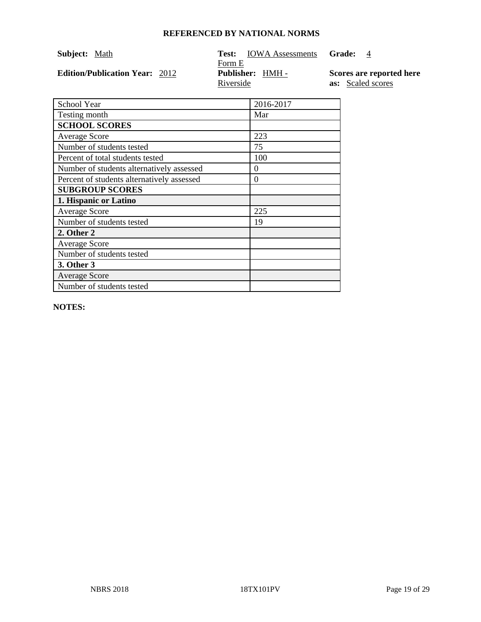| Subject: Math                         | Test:<br><b>IOWA</b> Assessments | Grade:                   |
|---------------------------------------|----------------------------------|--------------------------|
|                                       | Form E                           |                          |
| <b>Edition/Publication Year: 2012</b> | <b>Publisher:</b> HMH -          | Scores are reported here |
|                                       | Riverside                        | <b>as:</b> Scaled scores |

| School Year                                | 2016-2017 |
|--------------------------------------------|-----------|
| Testing month                              | Mar       |
| <b>SCHOOL SCORES</b>                       |           |
| <b>Average Score</b>                       | 223       |
| Number of students tested                  | 75        |
| Percent of total students tested           | 100       |
| Number of students alternatively assessed  | 0         |
| Percent of students alternatively assessed | 0         |
| <b>SUBGROUP SCORES</b>                     |           |
| 1. Hispanic or Latino                      |           |
| <b>Average Score</b>                       | 225       |
| Number of students tested                  | 19        |
| 2. Other 2                                 |           |
| <b>Average Score</b>                       |           |
| Number of students tested                  |           |
| 3. Other 3                                 |           |
| <b>Average Score</b>                       |           |
| Number of students tested                  |           |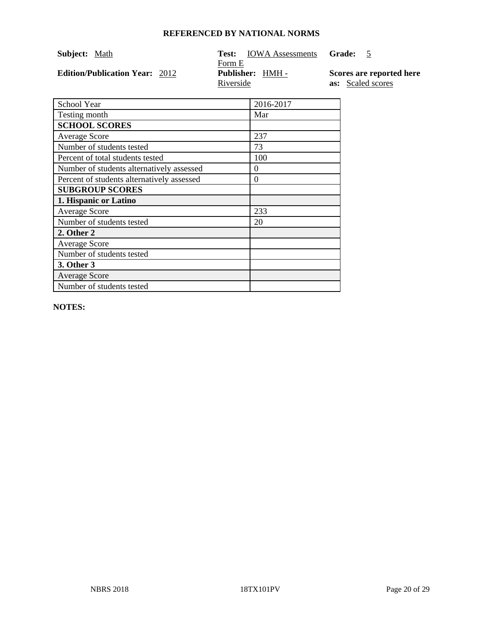| Subject: Math                         | Test:<br><b>IOWA</b> Assessments | Grade:                   |
|---------------------------------------|----------------------------------|--------------------------|
|                                       | Form E                           |                          |
| <b>Edition/Publication Year: 2012</b> | <b>Publisher:</b> HMH -          | Scores are reported here |
|                                       | Riverside                        | <b>as:</b> Scaled scores |

| School Year                                | 2016-2017 |
|--------------------------------------------|-----------|
| Testing month                              | Mar       |
| <b>SCHOOL SCORES</b>                       |           |
| <b>Average Score</b>                       | 237       |
| Number of students tested                  | 73        |
| Percent of total students tested           | 100       |
| Number of students alternatively assessed  | 0         |
| Percent of students alternatively assessed | $\theta$  |
| <b>SUBGROUP SCORES</b>                     |           |
| 1. Hispanic or Latino                      |           |
| <b>Average Score</b>                       | 233       |
| Number of students tested                  | 20        |
| 2. Other 2                                 |           |
| <b>Average Score</b>                       |           |
| Number of students tested                  |           |
| 3. Other 3                                 |           |
| <b>Average Score</b>                       |           |
| Number of students tested                  |           |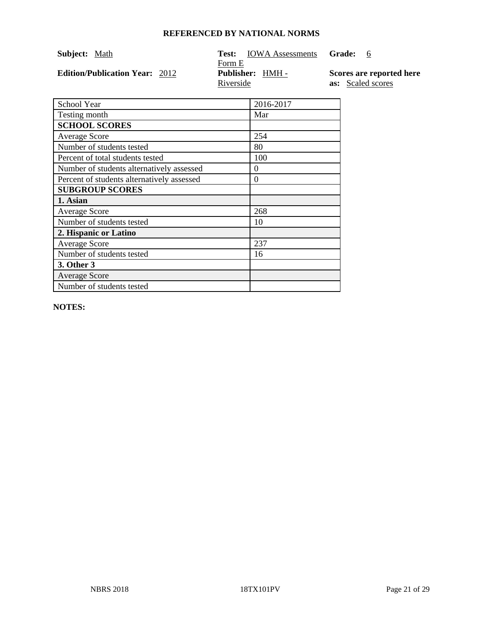| Subject: Math                         | Test:<br><b>IOWA Assessments</b> | Grade:                   |
|---------------------------------------|----------------------------------|--------------------------|
|                                       | Form E                           |                          |
| <b>Edition/Publication Year: 2012</b> | <b>Publisher:</b> HMH -          | Scores are reported here |
|                                       | Riverside                        | <b>as:</b> Scaled scores |

| School Year                                | 2016-2017 |
|--------------------------------------------|-----------|
| Testing month                              | Mar       |
| <b>SCHOOL SCORES</b>                       |           |
| <b>Average Score</b>                       | 254       |
| Number of students tested                  | 80        |
| Percent of total students tested           | 100       |
| Number of students alternatively assessed  | 0         |
| Percent of students alternatively assessed | 0         |
| <b>SUBGROUP SCORES</b>                     |           |
| 1. Asian                                   |           |
| <b>Average Score</b>                       | 268       |
| Number of students tested                  | 10        |
| 2. Hispanic or Latino                      |           |
| <b>Average Score</b>                       | 237       |
| Number of students tested                  | 16        |
| <b>3. Other 3</b>                          |           |
| <b>Average Score</b>                       |           |
| Number of students tested                  |           |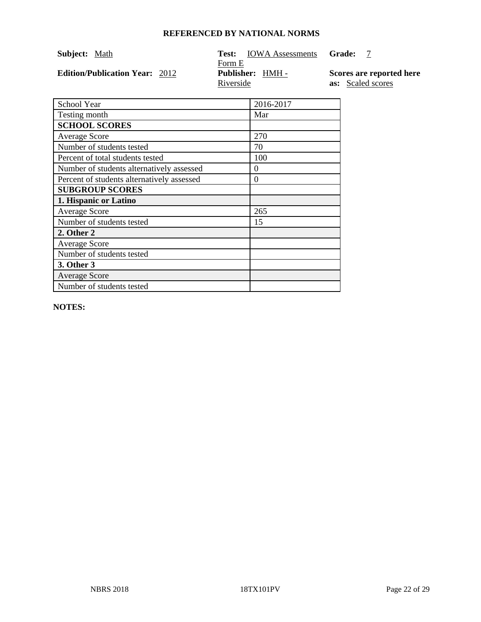| Subject: Math                         | Test:<br><b>IOWA</b> Assessments | Grade:                   |
|---------------------------------------|----------------------------------|--------------------------|
|                                       | Form E                           |                          |
| <b>Edition/Publication Year: 2012</b> | <b>Publisher:</b> HMH -          | Scores are reported here |
|                                       | Riverside                        | <b>as:</b> Scaled scores |

| School Year                                | 2016-2017 |
|--------------------------------------------|-----------|
| Testing month                              | Mar       |
| <b>SCHOOL SCORES</b>                       |           |
| <b>Average Score</b>                       | 270       |
| Number of students tested                  | 70        |
| Percent of total students tested           | 100       |
| Number of students alternatively assessed  | 0         |
| Percent of students alternatively assessed | $\theta$  |
| <b>SUBGROUP SCORES</b>                     |           |
| 1. Hispanic or Latino                      |           |
| <b>Average Score</b>                       | 265       |
| Number of students tested                  | 15        |
| 2. Other 2                                 |           |
| <b>Average Score</b>                       |           |
| Number of students tested                  |           |
| 3. Other 3                                 |           |
| <b>Average Score</b>                       |           |
| Number of students tested                  |           |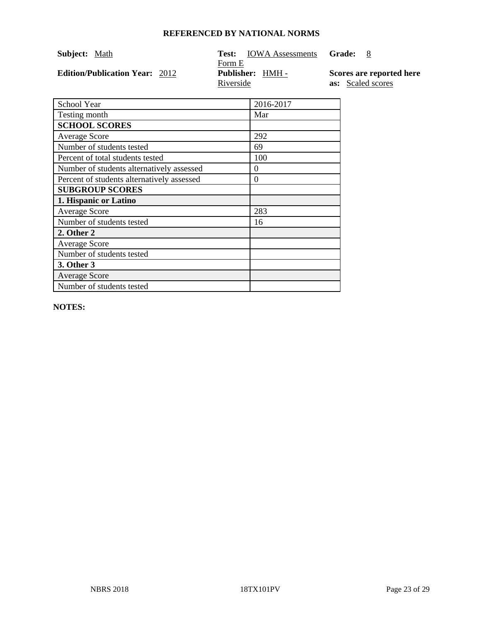| Subject: Math                         | Test:<br><b>IOWA</b> Assessments | Grade:                   |
|---------------------------------------|----------------------------------|--------------------------|
|                                       | Form E                           |                          |
| <b>Edition/Publication Year: 2012</b> | <b>Publisher:</b> HMH -          | Scores are reported here |
|                                       | Riverside                        | <b>as:</b> Scaled scores |

| School Year                                | 2016-2017 |
|--------------------------------------------|-----------|
| Testing month                              | Mar       |
| <b>SCHOOL SCORES</b>                       |           |
| <b>Average Score</b>                       | 292       |
| Number of students tested                  | 69        |
| Percent of total students tested           | 100       |
| Number of students alternatively assessed  | $\theta$  |
| Percent of students alternatively assessed | 0         |
| <b>SUBGROUP SCORES</b>                     |           |
| 1. Hispanic or Latino                      |           |
| <b>Average Score</b>                       | 283       |
| Number of students tested                  | 16        |
| 2. Other 2                                 |           |
| <b>Average Score</b>                       |           |
| Number of students tested                  |           |
| 3. Other 3                                 |           |
| <b>Average Score</b>                       |           |
| Number of students tested                  |           |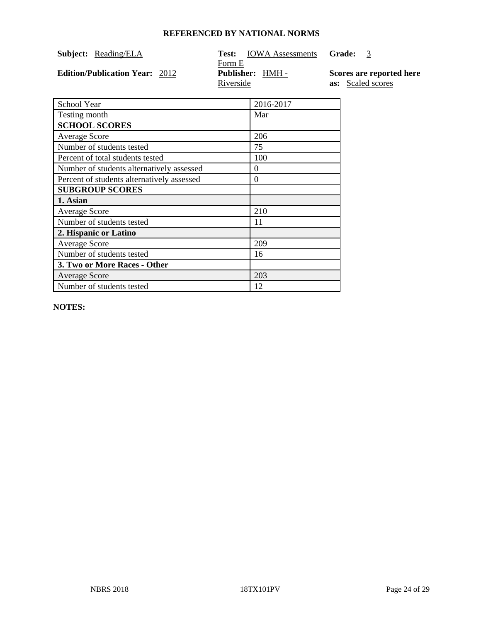| Subject: | Reading/ELA |
|----------|-------------|
|          |             |

**Edition/Publication Year:**  2012

# **Subject:** Reading/ELA **Test:** IOWA Assessments **Grade:** 3  $\frac{\text{Form E}}{\text{Publishedner: HMH -}}$ Riverside

**Scores are reported here as:** Scaled scores

| School Year                                | 2016-2017 |
|--------------------------------------------|-----------|
| Testing month                              | Mar       |
| <b>SCHOOL SCORES</b>                       |           |
| <b>Average Score</b>                       | 206       |
| Number of students tested                  | 75        |
| Percent of total students tested           | 100       |
| Number of students alternatively assessed  | $\Omega$  |
| Percent of students alternatively assessed | $\Omega$  |
| <b>SUBGROUP SCORES</b>                     |           |
| 1. Asian                                   |           |
| <b>Average Score</b>                       | 210       |
| Number of students tested                  | 11        |
| 2. Hispanic or Latino                      |           |
| <b>Average Score</b>                       | 209       |
| Number of students tested                  | 16        |
| 3. Two or More Races - Other               |           |
| <b>Average Score</b>                       | 203       |
| Number of students tested                  | 12        |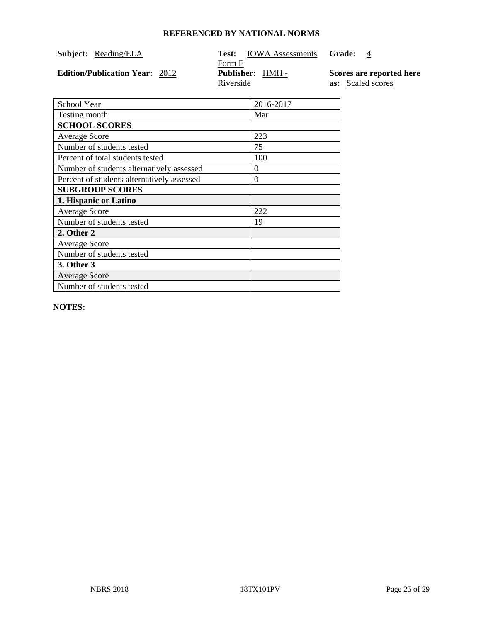| Subject: | Reading/ELA |
|----------|-------------|
|          |             |

**Edition/Publication Year:**  2012

# **Subject:** Reading/ELA **Test:** IOWA Assessments **Grade:** 4 Form E<br>**Publisher:** HMH -Riverside

**Scores are reported here as:** Scaled scores

| School Year                                | 2016-2017 |
|--------------------------------------------|-----------|
| Testing month                              | Mar       |
| <b>SCHOOL SCORES</b>                       |           |
| <b>Average Score</b>                       | 223       |
| Number of students tested                  | 75        |
| Percent of total students tested           | 100       |
| Number of students alternatively assessed  | $\Omega$  |
| Percent of students alternatively assessed | $\Omega$  |
| <b>SUBGROUP SCORES</b>                     |           |
| 1. Hispanic or Latino                      |           |
| Average Score                              | 222       |
| Number of students tested                  | 19        |
| 2. Other 2                                 |           |
| <b>Average Score</b>                       |           |
| Number of students tested                  |           |
| 3. Other 3                                 |           |
| <b>Average Score</b>                       |           |
| Number of students tested                  |           |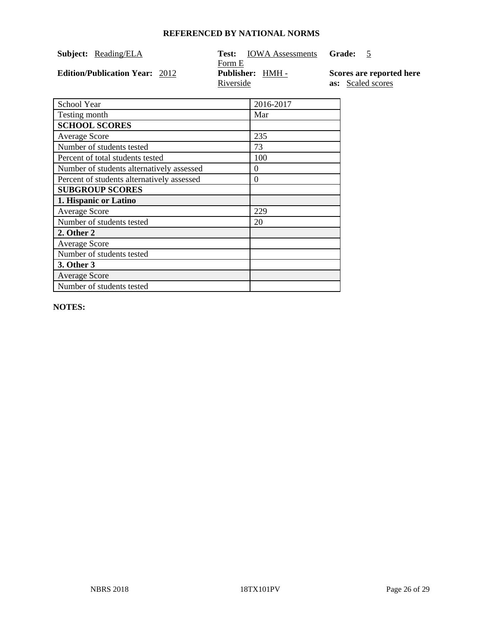| Subject: | Reading/ELA |
|----------|-------------|
|          |             |

**Edition/Publication Year: 2012** 

# **Subject:** Reading/ELA **Test:** IOWA Assessments **Grade:** 5 Form E<br>**Publisher:** <u>HMH -</u> Riverside

**Scores are reported here as:** Scaled scores

| School Year                                | 2016-2017 |
|--------------------------------------------|-----------|
| Testing month                              | Mar       |
| <b>SCHOOL SCORES</b>                       |           |
| <b>Average Score</b>                       | 235       |
| Number of students tested                  | 73        |
| Percent of total students tested           | 100       |
| Number of students alternatively assessed  | $\Omega$  |
| Percent of students alternatively assessed | $\theta$  |
| <b>SUBGROUP SCORES</b>                     |           |
| 1. Hispanic or Latino                      |           |
| Average Score                              | 229       |
| Number of students tested                  | 20        |
| 2. Other 2                                 |           |
| <b>Average Score</b>                       |           |
| Number of students tested                  |           |
| 3. Other 3                                 |           |
| <b>Average Score</b>                       |           |
| Number of students tested                  |           |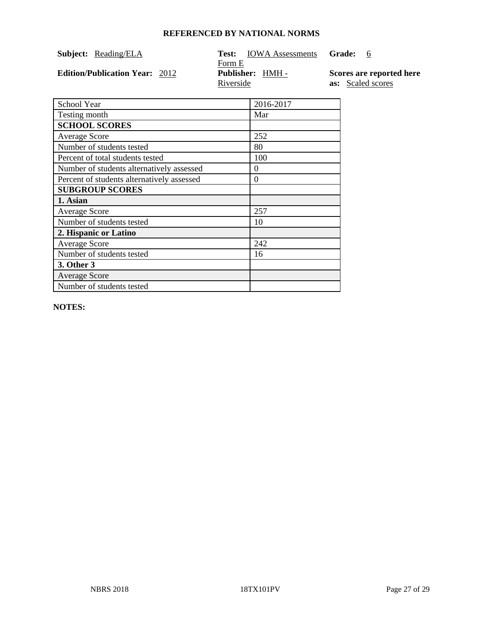| Subject: | Reading/ELA |
|----------|-------------|
|          |             |

**Edition/Publication Year:**  2012

# **Subject:** Reading/ELA **Test:** IOWA Assessments **Grade:** 6  $\frac{\text{Form E}}{\text{Publishedner: HMH -}}$ Riverside

**Scores are reported here as:** Scaled scores

| School Year                                | 2016-2017 |
|--------------------------------------------|-----------|
| Testing month                              | Mar       |
| <b>SCHOOL SCORES</b>                       |           |
| <b>Average Score</b>                       | 252       |
| Number of students tested                  | 80        |
| Percent of total students tested           | 100       |
| Number of students alternatively assessed  | $\Omega$  |
| Percent of students alternatively assessed | $\theta$  |
| <b>SUBGROUP SCORES</b>                     |           |
| 1. Asian                                   |           |
| <b>Average Score</b>                       | 257       |
| Number of students tested                  | 10        |
| 2. Hispanic or Latino                      |           |
| <b>Average Score</b>                       | 242       |
| Number of students tested                  | 16        |
| 3. Other 3                                 |           |
| <b>Average Score</b>                       |           |
| Number of students tested                  |           |
|                                            |           |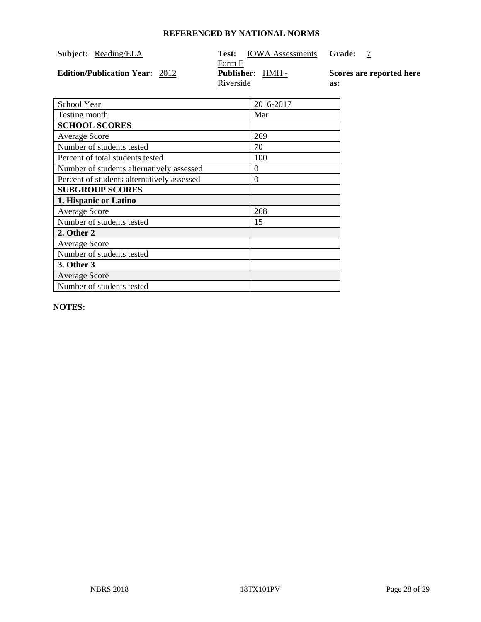| Subject: | Reading/ELA |
|----------|-------------|
|          |             |

**Edition/Publication Year:**  2012

### **Subject:** Reading/ELA **Test:** IOWA Assessments **Grade:** 7 Form E<br>**Publisher:** HMH -Riverside **as:**

**Scores are reported here** 

| School Year                                | 2016-2017 |
|--------------------------------------------|-----------|
| Testing month                              | Mar       |
| <b>SCHOOL SCORES</b>                       |           |
| <b>Average Score</b>                       | 269       |
| Number of students tested                  | 70        |
| Percent of total students tested           | 100       |
| Number of students alternatively assessed  | $\Omega$  |
| Percent of students alternatively assessed | $\theta$  |
| <b>SUBGROUP SCORES</b>                     |           |
| 1. Hispanic or Latino                      |           |
| Average Score                              | 268       |
| Number of students tested                  | 15        |
| 2. Other 2                                 |           |
| <b>Average Score</b>                       |           |
| Number of students tested                  |           |
| 3. Other 3                                 |           |
| <b>Average Score</b>                       |           |
| Number of students tested                  |           |